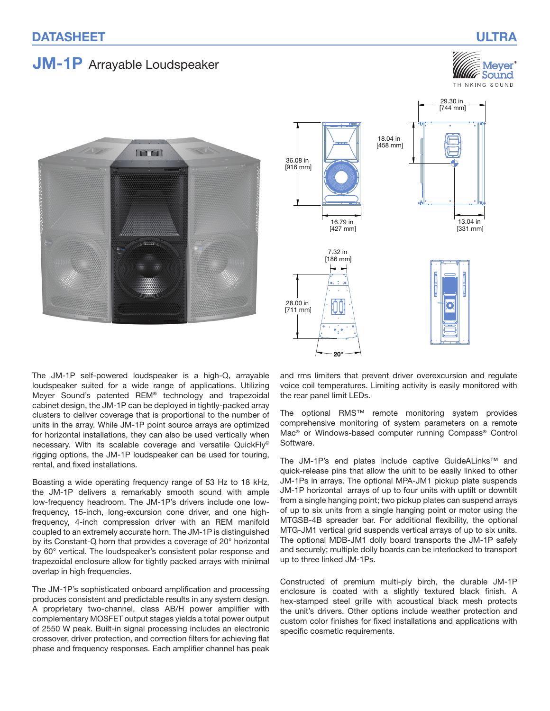# JM-1P Arrayable Loudspeaker

## Mever  $\mathscr C$  Sound THINKING SOUND





The JM-1P self-powered loudspeaker is a high-Q, arrayable loudspeaker suited for a wide range of applications. Utilizing Meyer Sound's patented REM® technology and trapezoidal cabinet design, the JM‑1P can be deployed in tightly-packed array clusters to deliver coverage that is proportional to the number of units in the array. While JM‑1P point source arrays are optimized for horizontal installations, they can also be used vertically when necessary. With its scalable coverage and versatile QuickFly® rigging options, the JM‑1P loudspeaker can be used for touring, rental, and fixed installations.

Boasting a wide operating frequency range of 53 Hz to 18 kHz, the JM‑1P delivers a remarkably smooth sound with ample low‑frequency headroom. The JM‑1P's drivers include one lowfrequency, 15-inch, long-excursion cone driver, and one highfrequency, 4-inch compression driver with an REM manifold coupled to an extremely accurate horn. The JM‑1P is distinguished by its Constant-Q horn that provides a coverage of 20° horizontal by 60° vertical. The loudspeaker's consistent polar response and trapezoidal enclosure allow for tightly packed arrays with minimal overlap in high frequencies.

The JM‑1P's sophisticated onboard amplification and processing produces consistent and predictable results in any system design. A proprietary two-channel, class AB/H power amplifier with complementary MOSFET output stages yields a total power output of 2550 W peak. Built-in signal processing includes an electronic crossover, driver protection, and correction filters for achieving flat phase and frequency responses. Each amplifier channel has peak

and rms limiters that prevent driver overexcursion and regulate voice coil temperatures. Limiting activity is easily monitored with the rear panel limit LEDs.

The optional RMS™ remote monitoring system provides comprehensive monitoring of system parameters on a remote Mac<sup>®</sup> or Windows-based computer running Compass<sup>®</sup> Control Software.

The JM‑1P's end plates include captive GuideALinks™ and quick‑release pins that allow the unit to be easily linked to other JM‑1Ps in arrays. The optional MPA‑JM1 pickup plate suspends JM‑1P horizontal arrays of up to four units with uptilt or downtilt from a single hanging point; two pickup plates can suspend arrays of up to six units from a single hanging point or motor using the MTGSB‑4B spreader bar. For additional flexibility, the optional MTG‑JM1 vertical grid suspends vertical arrays of up to six units. The optional MDB-JM1 dolly board transports the JM-1P safely and securely; multiple dolly boards can be interlocked to transport up to three linked JM‑1Ps.

Constructed of premium multi-ply birch, the durable JM‑1P enclosure is coated with a slightly textured black finish. A hex-stamped steel grille with acoustical black mesh protects the unit's drivers. Other options include weather protection and custom color finishes for fixed installations and applications with specific cosmetic requirements.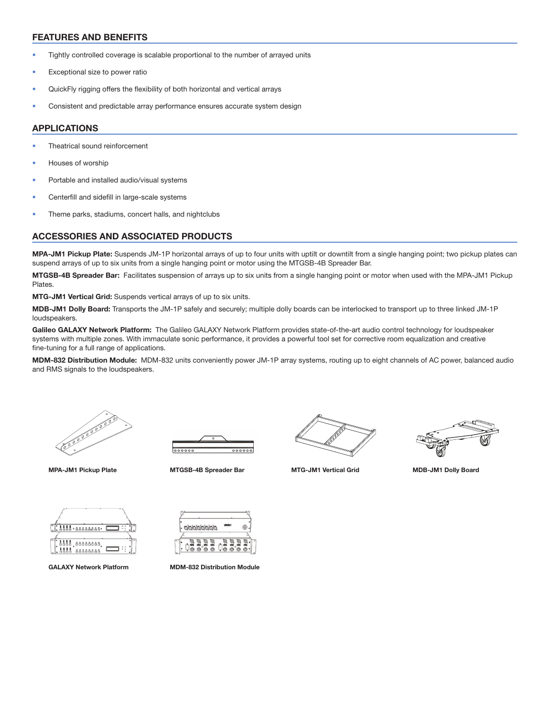#### FEATURES AND BENEFITS

- Tightly controlled coverage is scalable proportional to the number of arrayed units
- Exceptional size to power ratio
- QuickFly rigging offers the flexibility of both horizontal and vertical arrays
- Consistent and predictable array performance ensures accurate system design

#### APPLICATIONS

- Theatrical sound reinforcement
- Houses of worship
- Portable and installed audio/visual systems
- Centerfill and sidefill in large-scale systems
- Theme parks, stadiums, concert halls, and nightclubs

#### ACCESSORIES AND ASSOCIATED PRODUCTS

MPA-JM1 Pickup Plate: Suspends JM-1P horizontal arrays of up to four units with uptilt or downtilt from a single hanging point; two pickup plates can suspend arrays of up to six units from a single hanging point or motor using the MTGSB-4B Spreader Bar.

MTGSB-4B Spreader Bar: Facilitates suspension of arrays up to six units from a single hanging point or motor when used with the MPA-JM1 Pickup **Plates** 

MTG-JM1 Vertical Grid: Suspends vertical arrays of up to six units.

MDB-JM1 Dolly Board: Transports the JM-1P safely and securely; multiple dolly boards can be interlocked to transport up to three linked JM-1P loudspeakers.

Galileo GALAXY Network Platform: The Galileo GALAXY Network Platform provides state-of-the-art audio control technology for loudspeaker systems with multiple zones. With immaculate sonic performance, it provides a powerful tool set for corrective room equalization and creative fine-tuning for a full range of applications.

MDM-832 Distribution Module: MDM-832 units conveniently power JM-1P array systems, routing up to eight channels of AC power, balanced audio and RMS signals to the loudspeakers.







MPA‐JM1 Pickup Plate MTGSB-4B Spreader Bar MTG-JM1 Vertical Grid MDB‐JM1 Dolly Board



| 8888°68888888         |
|-----------------------|
|                       |
| 00000000<br>8888      |
| 0000000<br><b>000</b> |



GALAXY Network Platform MDM-832 Distribution Module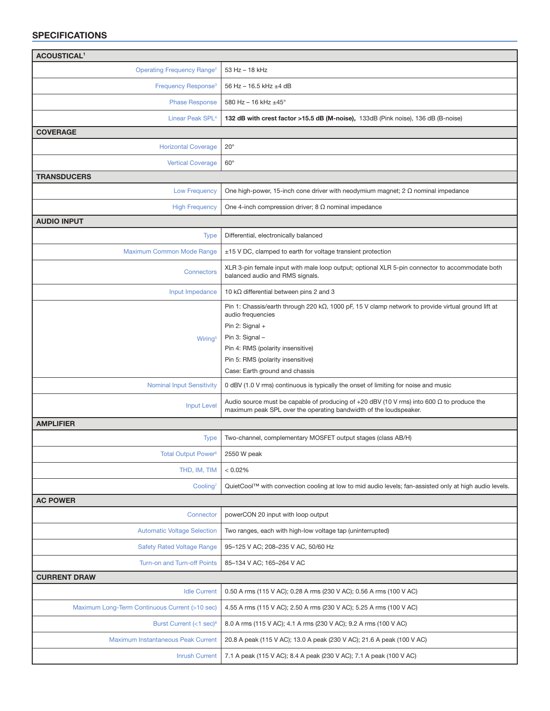### SPECIFICATIONS

| <b>ACOUSTICAL<sup>1</sup></b>                  |                                                                                                                                                                                                                                                                                    |  |
|------------------------------------------------|------------------------------------------------------------------------------------------------------------------------------------------------------------------------------------------------------------------------------------------------------------------------------------|--|
| <b>Operating Frequency Range<sup>2</sup></b>   | 53 Hz - 18 kHz                                                                                                                                                                                                                                                                     |  |
| Frequency Response <sup>3</sup>                | 56 Hz - 16.5 kHz ±4 dB                                                                                                                                                                                                                                                             |  |
| <b>Phase Response</b>                          | 580 Hz - 16 kHz $\pm$ 45°                                                                                                                                                                                                                                                          |  |
| Linear Peak SPL <sup>4</sup>                   | 132 dB with crest factor >15.5 dB (M-noise), 133dB (Pink noise), 136 dB (B-noise)                                                                                                                                                                                                  |  |
| <b>COVERAGE</b>                                |                                                                                                                                                                                                                                                                                    |  |
| <b>Horizontal Coverage</b>                     | $20^{\circ}$                                                                                                                                                                                                                                                                       |  |
| <b>Vertical Coverage</b>                       | $60^\circ$                                                                                                                                                                                                                                                                         |  |
| <b>TRANSDUCERS</b>                             |                                                                                                                                                                                                                                                                                    |  |
| <b>Low Frequency</b>                           | One high-power, 15-inch cone driver with neodymium magnet; $2 \Omega$ nominal impedance                                                                                                                                                                                            |  |
| <b>High Frequency</b>                          | One 4-inch compression driver; $8 \Omega$ nominal impedance                                                                                                                                                                                                                        |  |
| <b>AUDIO INPUT</b>                             |                                                                                                                                                                                                                                                                                    |  |
| <b>Type</b>                                    | Differential, electronically balanced                                                                                                                                                                                                                                              |  |
| Maximum Common Mode Range                      | ±15 V DC, clamped to earth for voltage transient protection                                                                                                                                                                                                                        |  |
| <b>Connectors</b>                              | XLR 3-pin female input with male loop output; optional XLR 5-pin connector to accommodate both<br>balanced audio and RMS signals.                                                                                                                                                  |  |
| Input Impedance                                | 10 k $\Omega$ differential between pins 2 and 3                                                                                                                                                                                                                                    |  |
| Wiring <sup>5</sup>                            | Pin 1: Chassis/earth through 220 k $\Omega$ , 1000 pF, 15 V clamp network to provide virtual ground lift at<br>audio frequencies<br>Pin 2: Signal +<br>Pin 3: Signal -<br>Pin 4: RMS (polarity insensitive)<br>Pin 5: RMS (polarity insensitive)<br>Case: Earth ground and chassis |  |
| <b>Nominal Input Sensitivity</b>               | 0 dBV (1.0 V rms) continuous is typically the onset of limiting for noise and music                                                                                                                                                                                                |  |
| <b>Input Level</b>                             | Audio source must be capable of producing of +20 dBV (10 V rms) into 600 $\Omega$ to produce the<br>maximum peak SPL over the operating bandwidth of the loudspeaker.                                                                                                              |  |
| <b>AMPLIFIER</b>                               |                                                                                                                                                                                                                                                                                    |  |
| <b>Type</b>                                    | Two-channel, complementary MOSFET output stages (class AB/H)                                                                                                                                                                                                                       |  |
| Total Output Power <sup>6</sup>                | 2550 W peak                                                                                                                                                                                                                                                                        |  |
| THD, IM, TIM                                   | < 0.02%                                                                                                                                                                                                                                                                            |  |
| Cooling <sup>7</sup>                           | QuietCool™ with convection cooling at low to mid audio levels; fan-assisted only at high audio levels.                                                                                                                                                                             |  |
| <b>AC POWER</b>                                |                                                                                                                                                                                                                                                                                    |  |
| Connector                                      | powerCON 20 input with loop output                                                                                                                                                                                                                                                 |  |
| <b>Automatic Voltage Selection</b>             | Two ranges, each with high-low voltage tap (uninterrupted)                                                                                                                                                                                                                         |  |
| <b>Safety Rated Voltage Range</b>              | 95-125 V AC; 208-235 V AC, 50/60 Hz                                                                                                                                                                                                                                                |  |
| Turn-on and Turn-off Points                    | 85-134 V AC; 165-264 V AC                                                                                                                                                                                                                                                          |  |
| <b>CURRENT DRAW</b>                            |                                                                                                                                                                                                                                                                                    |  |
| <b>Idle Current</b>                            | 0.50 A rms (115 V AC); 0.28 A rms (230 V AC); 0.56 A rms (100 V AC)                                                                                                                                                                                                                |  |
| Maximum Long-Term Continuous Current (>10 sec) | 4.55 A rms (115 V AC); 2.50 A rms (230 V AC); 5.25 A rms (100 V AC)                                                                                                                                                                                                                |  |
| Burst Current $(<1$ sec) <sup>8</sup>          | 8.0 A rms (115 V AC); 4.1 A rms (230 V AC); 9.2 A rms (100 V AC)                                                                                                                                                                                                                   |  |
| Maximum Instantaneous Peak Current             | 20.8 A peak (115 V AC); 13.0 A peak (230 V AC); 21.6 A peak (100 V AC)                                                                                                                                                                                                             |  |
| <b>Inrush Current</b>                          | 7.1 A peak (115 V AC); 8.4 A peak (230 V AC); 7.1 A peak (100 V AC)                                                                                                                                                                                                                |  |